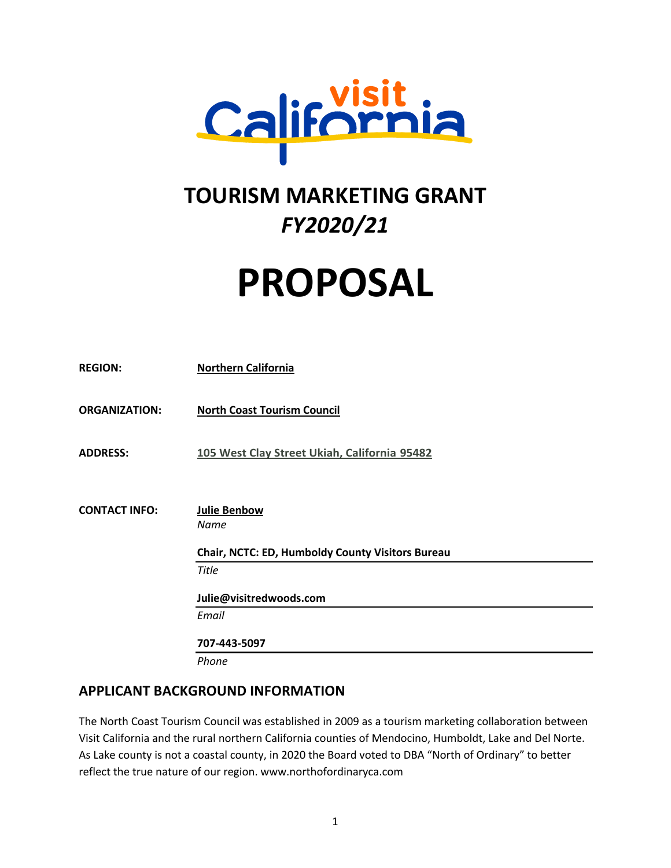

# **TOURISM MARKETING GRANT** *FY2020/21*

# **PROPOSAL**

| <b>REGION:</b>       | <b>Northern California</b>                       |
|----------------------|--------------------------------------------------|
| <b>ORGANIZATION:</b> | <b>North Coast Tourism Council</b>               |
| <b>ADDRESS:</b>      | 105 West Clay Street Ukiah, California 95482     |
|                      |                                                  |
| <b>CONTACT INFO:</b> | <b>Julie Benbow</b><br><b>Name</b>               |
|                      | Chair, NCTC: ED, Humboldy County Visitors Bureau |
|                      | <b>Title</b>                                     |
|                      | Julie@visitredwoods.com                          |
|                      | Email                                            |
|                      | 707-443-5097                                     |
|                      | Phone                                            |

# **APPLICANT BACKGROUND INFORMATION**

The North Coast Tourism Council was established in 2009 as a tourism marketing collaboration between Visit California and the rural northern California counties of Mendocino, Humboldt, Lake and Del Norte. As Lake county is not a coastal county, in 2020 the Board voted to DBA "North of Ordinary" to better reflect the true nature of our region. www.northofordinaryca.com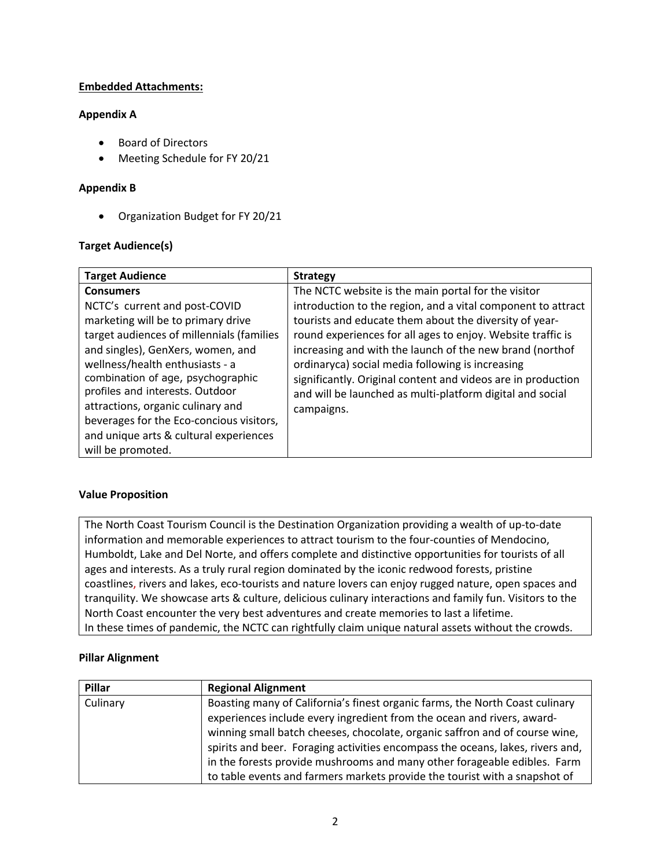#### **Embedded Attachments:**

#### **Appendix A**

- Board of Directors
- Meeting Schedule for FY 20/21

#### **Appendix B**

• Organization Budget for FY 20/21

#### **Target Audience(s)**

| <b>Target Audience</b>                    | <b>Strategy</b>                                              |
|-------------------------------------------|--------------------------------------------------------------|
| <b>Consumers</b>                          | The NCTC website is the main portal for the visitor          |
| NCTC's current and post-COVID             | introduction to the region, and a vital component to attract |
| marketing will be to primary drive        | tourists and educate them about the diversity of year-       |
| target audiences of millennials (families | round experiences for all ages to enjoy. Website traffic is  |
| and singles), GenXers, women, and         | increasing and with the launch of the new brand (northof     |
| wellness/health enthusiasts - a           | ordinaryca) social media following is increasing             |
| combination of age, psychographic         | significantly. Original content and videos are in production |
| profiles and interests. Outdoor           | and will be launched as multi-platform digital and social    |
| attractions, organic culinary and         | campaigns.                                                   |
| beverages for the Eco-concious visitors,  |                                                              |
| and unique arts & cultural experiences    |                                                              |
| will be promoted.                         |                                                              |

#### **Value Proposition**

The North Coast Tourism Council is the Destination Organization providing a wealth of up-to-date information and memorable experiences to attract tourism to the four-counties of Mendocino, Humboldt, Lake and Del Norte, and offers complete and distinctive opportunities for tourists of all ages and interests. As a truly rural region dominated by the iconic redwood forests, pristine coastlines, rivers and lakes, eco-tourists and nature lovers can enjoy rugged nature, open spaces and tranquility. We showcase arts & culture, delicious culinary interactions and family fun. Visitors to the North Coast encounter the very best adventures and create memories to last a lifetime. In these times of pandemic, the NCTC can rightfully claim unique natural assets without the crowds.

#### **Pillar Alignment**

| Pillar   | <b>Regional Alignment</b>                                                      |
|----------|--------------------------------------------------------------------------------|
| Culinary | Boasting many of California's finest organic farms, the North Coast culinary   |
|          | experiences include every ingredient from the ocean and rivers, award-         |
|          | winning small batch cheeses, chocolate, organic saffron and of course wine,    |
|          | spirits and beer. Foraging activities encompass the oceans, lakes, rivers and, |
|          | in the forests provide mushrooms and many other forageable edibles. Farm       |
|          | to table events and farmers markets provide the tourist with a snapshot of     |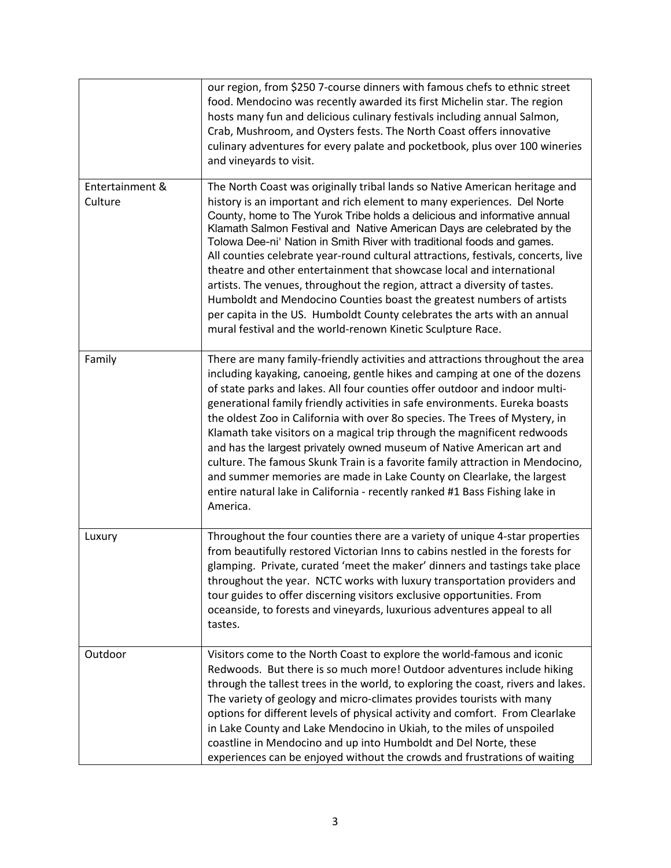|                            | our region, from \$250 7-course dinners with famous chefs to ethnic street<br>food. Mendocino was recently awarded its first Michelin star. The region<br>hosts many fun and delicious culinary festivals including annual Salmon,<br>Crab, Mushroom, and Oysters fests. The North Coast offers innovative<br>culinary adventures for every palate and pocketbook, plus over 100 wineries<br>and vineyards to visit.                                                                                                                                                                                                                                                                                                                                                                                                                                   |
|----------------------------|--------------------------------------------------------------------------------------------------------------------------------------------------------------------------------------------------------------------------------------------------------------------------------------------------------------------------------------------------------------------------------------------------------------------------------------------------------------------------------------------------------------------------------------------------------------------------------------------------------------------------------------------------------------------------------------------------------------------------------------------------------------------------------------------------------------------------------------------------------|
| Entertainment &<br>Culture | The North Coast was originally tribal lands so Native American heritage and<br>history is an important and rich element to many experiences. Del Norte<br>County, home to The Yurok Tribe holds a delicious and informative annual<br>Klamath Salmon Festival and Native American Days are celebrated by the<br>Tolowa Dee-ni' Nation in Smith River with traditional foods and games.<br>All counties celebrate year-round cultural attractions, festivals, concerts, live<br>theatre and other entertainment that showcase local and international<br>artists. The venues, throughout the region, attract a diversity of tastes.<br>Humboldt and Mendocino Counties boast the greatest numbers of artists<br>per capita in the US. Humboldt County celebrates the arts with an annual<br>mural festival and the world-renown Kinetic Sculpture Race. |
| Family                     | There are many family-friendly activities and attractions throughout the area<br>including kayaking, canoeing, gentle hikes and camping at one of the dozens<br>of state parks and lakes. All four counties offer outdoor and indoor multi-<br>generational family friendly activities in safe environments. Eureka boasts<br>the oldest Zoo in California with over 80 species. The Trees of Mystery, in<br>Klamath take visitors on a magical trip through the magnificent redwoods<br>and has the largest privately owned museum of Native American art and<br>culture. The famous Skunk Train is a favorite family attraction in Mendocino,<br>and summer memories are made in Lake County on Clearlake, the largest<br>entire natural lake in California - recently ranked #1 Bass Fishing lake in<br>America.                                    |
| Luxury                     | Throughout the four counties there are a variety of unique 4-star properties<br>from beautifully restored Victorian Inns to cabins nestled in the forests for<br>glamping. Private, curated 'meet the maker' dinners and tastings take place<br>throughout the year. NCTC works with luxury transportation providers and<br>tour guides to offer discerning visitors exclusive opportunities. From<br>oceanside, to forests and vineyards, luxurious adventures appeal to all<br>tastes.                                                                                                                                                                                                                                                                                                                                                               |
| Outdoor                    | Visitors come to the North Coast to explore the world-famous and iconic<br>Redwoods. But there is so much more! Outdoor adventures include hiking<br>through the tallest trees in the world, to exploring the coast, rivers and lakes.<br>The variety of geology and micro-climates provides tourists with many<br>options for different levels of physical activity and comfort. From Clearlake<br>in Lake County and Lake Mendocino in Ukiah, to the miles of unspoiled<br>coastline in Mendocino and up into Humboldt and Del Norte, these<br>experiences can be enjoyed without the crowds and frustrations of waiting                                                                                                                                                                                                                             |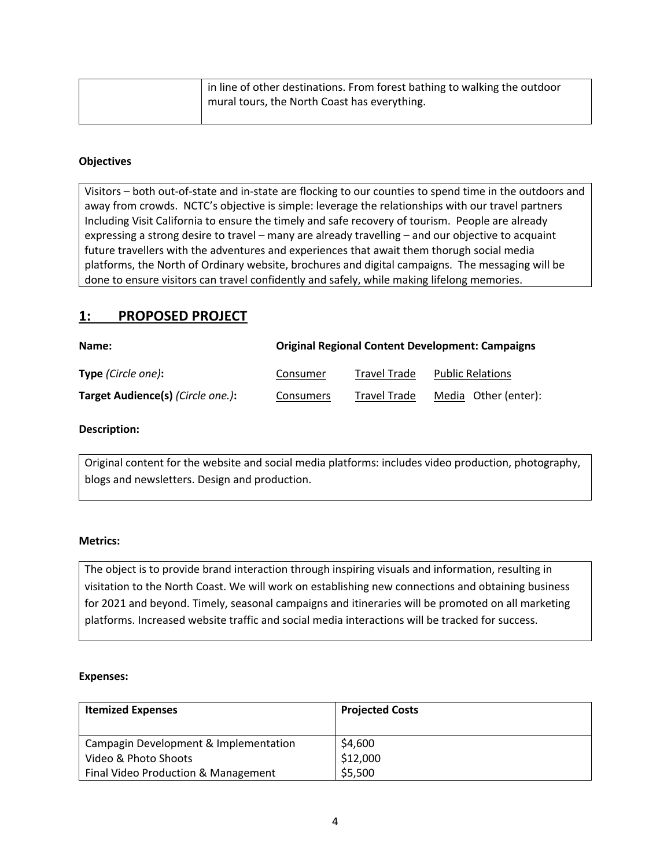| in line of other destinations. From forest bathing to walking the outdoor |
|---------------------------------------------------------------------------|
| mural tours, the North Coast has everything.                              |
|                                                                           |

#### **Objectives**

Visitors – both out-of-state and in-state are flocking to our counties to spend time in the outdoors and away from crowds. NCTC's objective is simple: leverage the relationships with our travel partners Including Visit California to ensure the timely and safe recovery of tourism. People are already expressing a strong desire to travel – many are already travelling – and our objective to acquaint future travellers with the adventures and experiences that await them thorugh social media platforms, the North of Ordinary website, brochures and digital campaigns. The messaging will be done to ensure visitors can travel confidently and safely, while making lifelong memories.

#### **1: PROPOSED PROJECT**

| Name:                             |           |                     | <b>Original Regional Content Development: Campaigns</b> |
|-----------------------------------|-----------|---------------------|---------------------------------------------------------|
| <b>Type</b> (Circle one):         | Consumer  | Travel Trade        | <b>Public Relations</b>                                 |
| Target Audience(s) (Circle one.): | Consumers | <b>Travel Trade</b> | Media Other (enter):                                    |

#### **Description:**

Original content for the website and social media platforms: includes video production, photography, blogs and newsletters. Design and production.

#### **Metrics:**

The object is to provide brand interaction through inspiring visuals and information, resulting in visitation to the North Coast. We will work on establishing new connections and obtaining business for 2021 and beyond. Timely, seasonal campaigns and itineraries will be promoted on all marketing platforms. Increased website traffic and social media interactions will be tracked for success.

#### **Expenses:**

| <b>Itemized Expenses</b>              | <b>Projected Costs</b> |
|---------------------------------------|------------------------|
|                                       |                        |
| Campagin Development & Implementation | \$4,600                |
| Video & Photo Shoots                  | \$12,000               |
| Final Video Production & Management   | \$5,500                |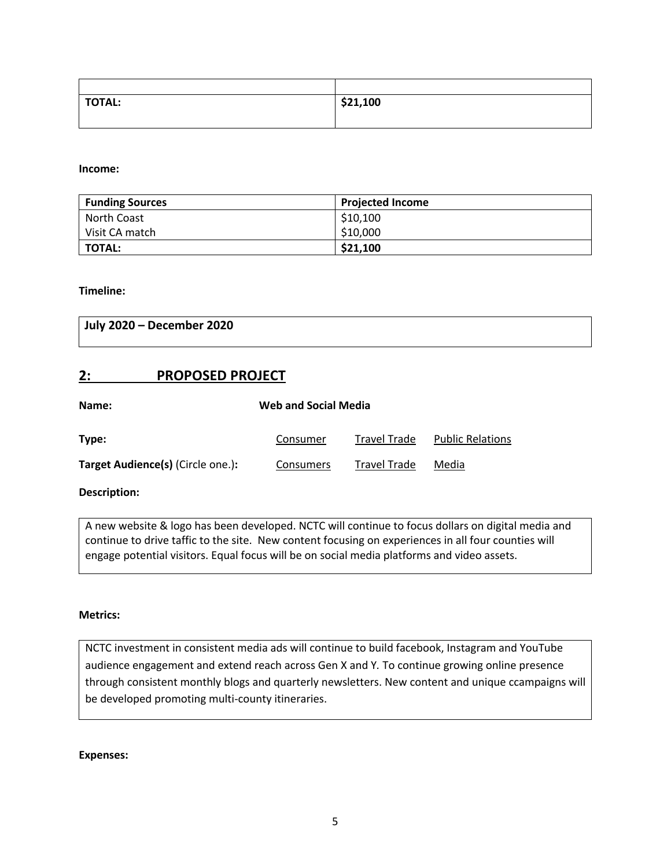| <b>TOTAL:</b> | \$21,100 |
|---------------|----------|
|               |          |

**Income:**

| <b>Funding Sources</b> | <b>Projected Income</b> |
|------------------------|-------------------------|
| North Coast            | \$10,100                |
| Visit CA match         | \$10,000                |
| <b>TOTAL:</b>          | \$21,100                |

**Timeline:**

**July 2020 – December 2020**

#### **2: PROPOSED PROJECT**

| <b>Web and Social Media</b><br>Name:     |           |                     |                         |
|------------------------------------------|-----------|---------------------|-------------------------|
| Type:                                    | Consumer  | <b>Travel Trade</b> | <b>Public Relations</b> |
| <b>Target Audience(s)</b> (Circle one.): | Consumers | <b>Travel Trade</b> | Media                   |

**Description:**

A new website & logo has been developed. NCTC will continue to focus dollars on digital media and continue to drive taffic to the site. New content focusing on experiences in all four counties will engage potential visitors. Equal focus will be on social media platforms and video assets.

#### **Metrics:**

NCTC investment in consistent media ads will continue to build facebook, Instagram and YouTube audience engagement and extend reach across Gen X and Y*.* To continue growing online presence through consistent monthly blogs and quarterly newsletters. New content and unique ccampaigns will be developed promoting multi-county itineraries.

**Expenses:**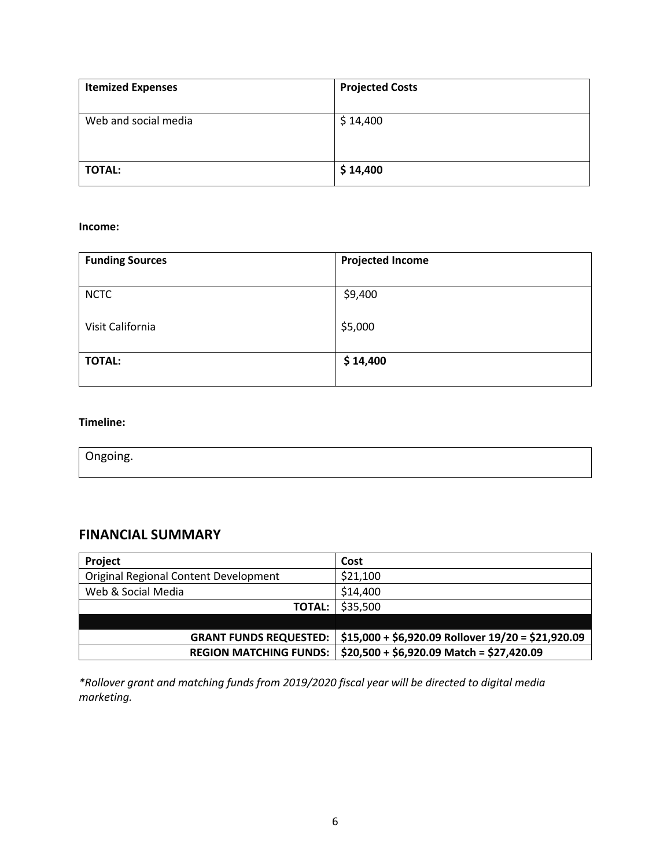| <b>Itemized Expenses</b> | <b>Projected Costs</b> |
|--------------------------|------------------------|
| Web and social media     | \$14,400               |
| <b>TOTAL:</b>            | \$14,400               |

#### **Income:**

| <b>Funding Sources</b> | <b>Projected Income</b> |
|------------------------|-------------------------|
| <b>NCTC</b>            | \$9,400                 |
| Visit California       | \$5,000                 |
| <b>TOTAL:</b>          | \$14,400                |

#### **Timeline:**

Ongoing.

# **FINANCIAL SUMMARY**

| Project                               | Cost                                                |
|---------------------------------------|-----------------------------------------------------|
| Original Regional Content Development | \$21,100                                            |
| Web & Social Media                    | \$14,400                                            |
| <b>TOTAL:</b>                         | \$35,500                                            |
|                                       |                                                     |
| <b>GRANT FUNDS REQUESTED:</b>         | $$15,000 + $6,920.09$ Rollover $19/20 = $21,920.09$ |
| <b>REGION MATCHING FUNDS:</b>         | $$20,500 + $6,920.09$ Match = \$27,420.09           |

*\*Rollover grant and matching funds from 2019/2020 fiscal year will be directed to digital media marketing.*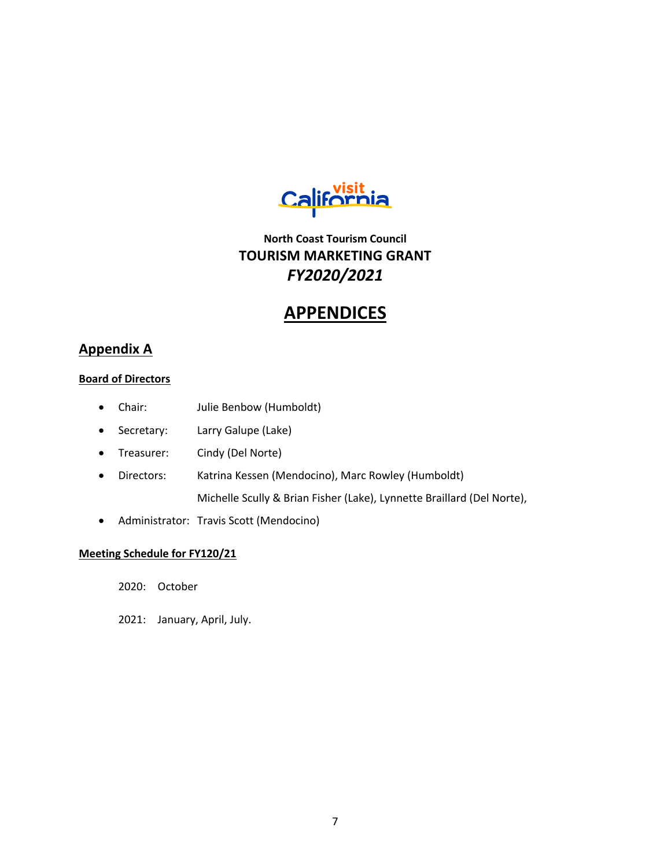

# **North Coast Tourism Council TOURISM MARKETING GRANT** *FY2020/2021*

# **APPENDICES**

## **Appendix A**

#### **Board of Directors**

- Chair: Julie Benbow (Humboldt)
- Secretary: Larry Galupe (Lake)
- Treasurer: Cindy (Del Norte)
- Directors: Katrina Kessen (Mendocino), Marc Rowley (Humboldt) Michelle Scully & Brian Fisher (Lake), Lynnette Braillard (Del Norte),
- Administrator: Travis Scott (Mendocino)

#### **Meeting Schedule for FY120/21**

2020: October

2021: January, April, July.